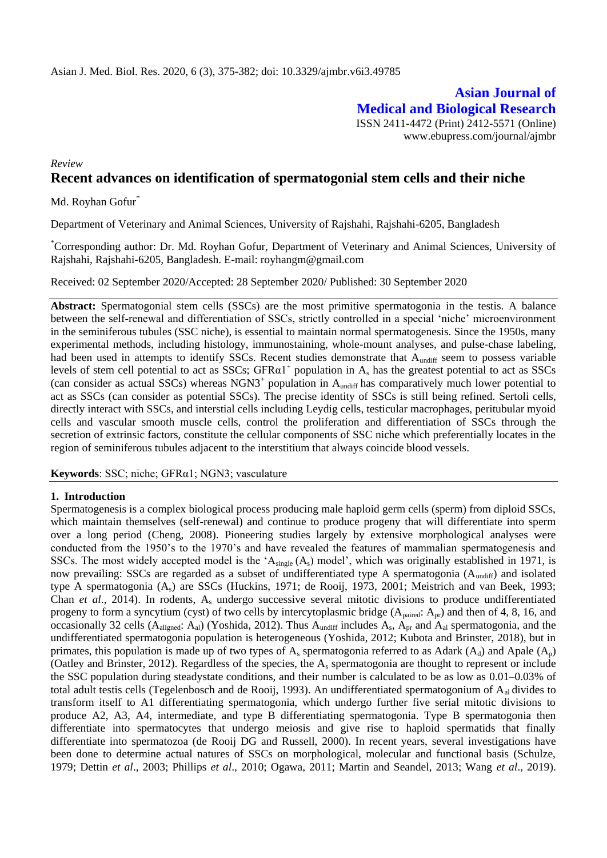**Asian Journal of Medical and Biological Research** ISSN 2411-4472 (Print) 2412-5571 (Online) www.ebupress.com/journal/ajmbr

# *Review* **Recent advances on identification of spermatogonial stem cells and their niche**

Md. Royhan Gofur<sup>\*</sup>

Department of Veterinary and Animal Sciences, University of Rajshahi, Rajshahi-6205, Bangladesh

\*Corresponding author: Dr. Md. Royhan Gofur, Department of Veterinary and Animal Sciences, University of Rajshahi, Rajshahi-6205, Bangladesh. E-mail: royhangm@gmail.com

Received: 02 September 2020/Accepted: 28 September 2020/ Published: 30 September 2020

**Abstract:** Spermatogonial stem cells (SSCs) are the most primitive spermatogonia in the testis. A balance between the self-renewal and differentiation of SSCs, strictly controlled in a special "niche" microenvironment in the seminiferous tubules (SSC niche), is essential to maintain normal spermatogenesis. Since the 1950s, many experimental methods, including histology, immunostaining, whole-mount analyses, and pulse-chase labeling, had been used in attempts to identify SSCs. Recent studies demonstrate that A<sub>undiff</sub> seem to possess variable levels of stem cell potential to act as SSCs;  $GFR\alpha1<sup>+</sup>$  population in A<sub>s</sub> has the greatest potential to act as SSCs (can consider as actual SSCs) whereas NGN3<sup>+</sup> population in  $A<sub>undiff</sub>$  has comparatively much lower potential to act as SSCs (can consider as potential SSCs). The precise identity of SSCs is still being refined. Sertoli cells, directly interact with SSCs, and interstial cells including Leydig cells, testicular macrophages, peritubular myoid cells and vascular smooth muscle cells, control the proliferation and differentiation of SSCs through the secretion of extrinsic factors, constitute the cellular components of SSC niche which preferentially locates in the region of seminiferous tubules adjacent to the interstitium that always coincide blood vessels.

**Keywords**: SSC; niche; GFRα1; NGN3; vasculature

# **1. Introduction**

Spermatogenesis is a complex biological process producing male haploid germ cells (sperm) from diploid SSCs, which maintain themselves (self-renewal) and continue to produce progeny that will differentiate into sperm over a long period (Cheng, 2008). Pioneering studies largely by extensive morphological analyses were conducted from the 1950"s to the 1970"s and have revealed the features of mammalian spermatogenesis and SSCs. The most widely accepted model is the ' $A_{single}(A_s)$  model', which was originally established in 1971, is now prevailing: SSCs are regarded as a subset of undifferentiated type A spermatogonia (A<sub>undiff</sub>) and isolated type A spermatogonia (As) are SSCs (Huckins, 1971; de Rooij, 1973, 2001; Meistrich and van Beek, 1993; Chan *et al*., 2014). In rodents, A<sup>s</sup> undergo successive several mitotic divisions to produce undifferentiated progeny to form a syncytium (cyst) of two cells by intercytoplasmic bridge  $(A_{\text{paired}}: A_{\text{pr}})$  and then of 4, 8, 16, and occasionally 32 cells ( $A_{aligned}$ :  $A_{al}$ ) (Yoshida, 2012). Thus  $A_{undiff}$  includes  $A_s$ ,  $A_{pr}$  and  $A_{al}$  spermatogonia, and the undifferentiated spermatogonia population is heterogeneous (Yoshida, 2012; Kubota and Brinster, 2018), but in primates, this population is made up of two types of  $A_s$  spermatogonia referred to as Adark ( $A_d$ ) and Apale ( $A_p$ ) (Oatley and Brinster, 2012). Regardless of the species, the A<sup>s</sup> spermatogonia are thought to represent or include the SSC population during steadystate conditions, and their number is calculated to be as low as 0.01–0.03% of total adult testis cells (Tegelenbosch and de Rooij, 1993). An undifferentiated spermatogonium of A<sub>al</sub> divides to transform itself to A1 differentiating spermatogonia, which undergo further five serial mitotic divisions to produce A2, A3, A4, intermediate, and type B differentiating spermatogonia. Type B spermatogonia then differentiate into spermatocytes that undergo meiosis and give rise to haploid spermatids that finally differentiate into spermatozoa (de Rooij DG and Russell, 2000). In recent years, several investigations have been done to determine actual natures of SSCs on morphological, molecular and functional basis (Schulze, 1979; Dettin *et al*., 2003; Phillips *et al*., 2010; Ogawa, 2011; Martin and Seandel, 2013; Wang *et al*., 2019).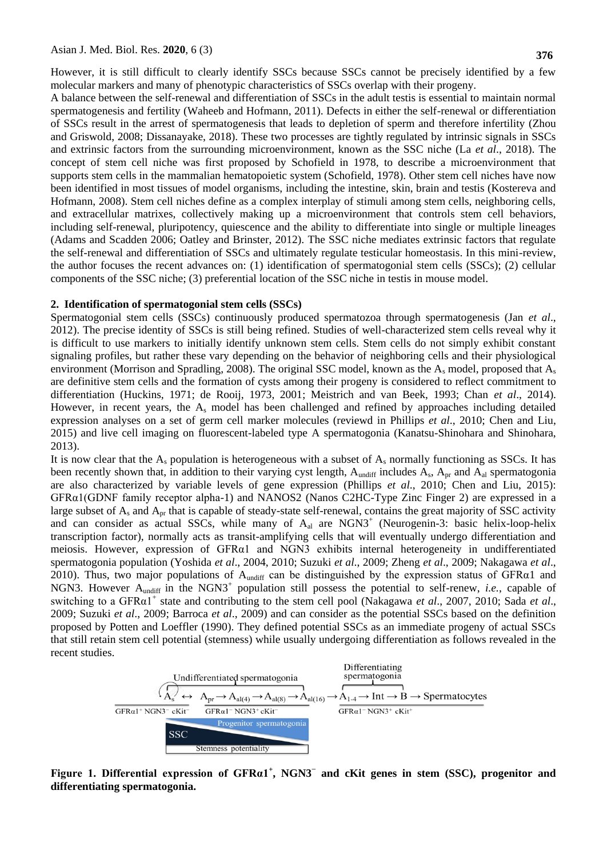However, it is still difficult to clearly identify SSCs because SSCs cannot be precisely identified by a few molecular markers and many of phenotypic characteristics of SSCs overlap with their progeny.

A balance between the self-renewal and differentiation of SSCs in the adult testis is essential to maintain normal spermatogenesis and fertility (Waheeb and Hofmann, 2011). Defects in either the self-renewal or differentiation of SSCs result in the arrest of spermatogenesis that leads to depletion of sperm and therefore infertility (Zhou and Griswold, 2008; Dissanayake, 2018). These two processes are tightly regulated by intrinsic signals in SSCs and extrinsic factors from the surrounding microenvironment, known as the SSC niche (La *et al*., 2018). The concept of stem cell niche was first proposed by Schofield in 1978, to describe a microenvironment that supports stem cells in the mammalian hematopoietic system (Schofield, 1978). Other stem cell niches have now been identified in most tissues of model organisms, including the intestine, skin, brain and testis (Kostereva and Hofmann, 2008). Stem cell niches define as a complex interplay of stimuli among stem cells, neighboring cells, and extracellular matrixes, collectively making up a microenvironment that controls stem cell behaviors, including self-renewal, pluripotency, quiescence and the ability to differentiate into single or multiple lineages (Adams and Scadden 2006; Oatley and Brinster, 2012). The SSC niche mediates extrinsic factors that regulate the self-renewal and differentiation of SSCs and ultimately regulate testicular homeostasis. In this mini-review, the author focuses the recent advances on: (1) identification of spermatogonial stem cells (SSCs); (2) cellular components of the SSC niche; (3) preferential location of the SSC niche in testis in mouse model.

#### **2. Identification of spermatogonial stem cells (SSCs)**

Spermatogonial stem cells (SSCs) continuously produced spermatozoa through spermatogenesis (Jan *et al*., 2012). The precise identity of SSCs is still being refined. Studies of well-characterized stem cells reveal why it is difficult to use markers to initially identify unknown stem cells. Stem cells do not simply exhibit constant signaling profiles, but rather these vary depending on the behavior of neighboring cells and their physiological environment (Morrison and Spradling, 2008). The original SSC model, known as the  $A_s$  model, proposed that  $A_s$ are definitive stem cells and the formation of cysts among their progeny is considered to reflect commitment to differentiation (Huckins, 1971; de Rooij, 1973, 2001; Meistrich and van Beek, 1993; Chan *et al*., 2014). However, in recent years, the  $A_s$  model has been challenged and refined by approaches including detailed expression analyses on a set of germ cell marker molecules (reviewd in Phillips *et al*., 2010; Chen and Liu, 2015) and live cell imaging on fluorescent-labeled type A spermatogonia (Kanatsu-Shinohara and Shinohara, 2013).

It is now clear that the  $A_s$  population is heterogeneous with a subset of  $A_s$  normally functioning as SSCs. It has been recently shown that, in addition to their varying cyst length,  $A_{\text{undiff}}$  includes  $A_s$ ,  $A_{\text{pr}}$  and  $A_{\text{al}}$  spermatogonia are also characterized by variable levels of gene expression (Phillips *et al*., 2010; Chen and Liu, 2015): GFRα1(GDNF family receptor alpha-1) and NANOS2 (Nanos C2HC-Type Zinc Finger 2) are expressed in a large subset of  $A_s$  and  $A_{pr}$  that is capable of steady-state self-renewal, contains the great majority of SSC activity and can consider as actual SSCs, while many of A<sub>al</sub> are NGN3<sup>+</sup> (Neurogenin-3: basic helix-loop-helix transcription factor), normally acts as transit-amplifying cells that will eventually undergo differentiation and meiosis. However, expression of GFRα1 and NGN3 exhibits internal heterogeneity in undifferentiated spermatogonia population (Yoshida *et al*., 2004, 2010; Suzuki *et al*., 2009; Zheng *et al*., 2009; Nakagawa *et al*., 2010). Thus, two major populations of  $A<sub>undiff</sub>$  can be distinguished by the expression status of GFR $\alpha$ 1 and NGN3. However A<sub>undiff</sub> in the NGN3<sup>+</sup> population still possess the potential to self-renew, *i.e.*, capable of switching to a GFRα1<sup>+</sup> state and contributing to the stem cell pool (Nakagawa *et al.*, 2007, 2010; Sada *et al.*, 2009; Suzuki *et al*., 2009; Barroca *et al*., 2009) and can consider as the potential SSCs based on the definition proposed by Potten and Loeffler (1990). They defined potential SSCs as an immediate progeny of actual SSCs that still retain stem cell potential (stemness) while usually undergoing differentiation as follows revealed in the recent studies.



**Figure 1. Differential expression of GFRα1<sup>+</sup> , NGN3<sup>−</sup> and cKit genes in stem (SSC), progenitor and differentiating spermatogonia.**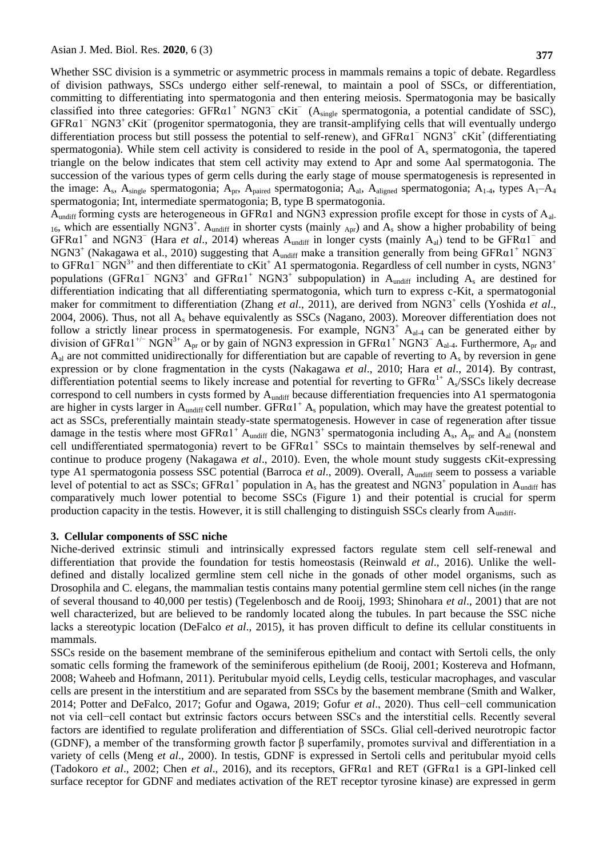Whether SSC division is a symmetric or asymmetric process in mammals remains a topic of debate. Regardless of division pathways, SSCs undergo either self-renewal, to maintain a pool of SSCs, or differentiation, committing to differentiating into spermatogonia and then entering meiosis. Spermatogonia may be basically classified into three categories: GFR $\alpha$ 1<sup>+</sup> NGN3<sup>−</sup> cKit<sup>−</sup> (A<sub>single</sub> spermatogonia, a potential candidate of SSC), GFRα1<sup>−</sup> NGN3<sup>+</sup>cKit<sup>−</sup>(progenitor spermatogonia, they are transit-amplifying cells that will eventually undergo differentiation process but still possess the potential to self-renew), and GFRα1<sup>−</sup> NGN3<sup>+</sup>cKit<sup>+</sup>(differentiating spermatogonia). While stem cell activity is considered to reside in the pool of A<sup>s</sup> spermatogonia, the tapered triangle on the below indicates that stem cell activity may extend to Apr and some Aal spermatogonia. The succession of the various types of germ cells during the early stage of mouse spermatogenesis is represented in the image:  $A_s$ ,  $A_{single}$  spermatogonia;  $A_{pr}$ ,  $A_{paired}$  spermatogonia;  $A_{al}$ ,  $A_{aligned}$  spermatogonia;  $A_{1-4}$ , types  $A_1$ - $A_4$ spermatogonia; Int, intermediate spermatogonia; B, type B spermatogonia.

 $A<sub>undiff</sub>$  forming cysts are heterogeneous in GFR $\alpha$ 1 and NGN3 expression profile except for those in cysts of  $A<sub>al</sub>$ .  $_{16}$ , which are essentially NGN3<sup>+</sup>. A<sub>undiff</sub> in shorter cysts (mainly <sub>Apr</sub>) and A<sub>s</sub> show a higher probability of being  $GFR\alpha1^+$  and NGN3<sup>−</sup> (Hara *et al.*, 2014) whereas  $A_{undiff}$  in longer cysts (mainly  $A_{al}$ ) tend to be  $GFR\alpha1^-$  and NGN3<sup>+</sup> (Nakagawa et al., 2010) suggesting that  $A<sub>undiff</sub>$  make a transition generally from being GFR $\alpha$ 1<sup>+</sup> NGN3<sup>−</sup> to GFRα1<sup>−</sup> NGN<sup>3+</sup> and then differentiate to cKit<sup>+</sup> A1 spermatogonia. Regardless of cell number in cysts, NGN3<sup>+</sup> populations (GFR $\alpha$ 1<sup>-</sup> NGN3<sup>+</sup> and GFR $\alpha$ 1<sup>+</sup> NGN3<sup>+</sup> subpopulation) in A<sub>undiff</sub> including A<sub>s</sub> are destined for differentiation indicating that all differentiating spermatogonia, which turn to express c-Kit, a spermatogonial maker for commitment to differentiation (Zhang *et al.*, 2011), are derived from NGN3<sup>+</sup> cells (Yoshida *et al.*, 2004, 2006). Thus, not all  $A_s$  behave equivalently as SSCs (Nagano, 2003). Moreover differentiation does not follow a strictly linear process in spermatogenesis. For example,  $NGN3<sup>+</sup> A<sub>a1-4</sub>$  can be generated either by division of GFR $\alpha$ 1<sup>+/−</sup> NGN<sup>3+</sup> A<sub>pr</sub> or by gain of NGN3 expression in GFR $\alpha$ 1<sup>+</sup> NGN3<sup>−</sup> A<sub>al-4</sub>. Furthermore, A<sub>pr</sub> and  $A_{al}$  are not committed unidirectionally for differentiation but are capable of reverting to  $A_s$  by reversion in gene expression or by clone fragmentation in the cysts (Nakagawa *et al*., 2010; Hara *et al*., 2014). By contrast, differentiation potential seems to likely increase and potential for reverting to GFR $\alpha^{1+}$  A<sub>s</sub>/SSCs likely decrease correspond to cell numbers in cysts formed by A<sub>undiff</sub> because differentiation frequencies into A1 spermatogonia are higher in cysts larger in A<sub>undiff</sub> cell number. GFR $\alpha$ 1<sup>+</sup> A<sub>s</sub> population, which may have the greatest potential to act as SSCs, preferentially maintain steady-state spermatogenesis. However in case of regeneration after tissue damage in the testis where most  $GFRa1^+$   $A_{undiff}$  die, NGN3<sup>+</sup> spermatogonia including  $A_s$ ,  $A_{pr}$  and  $A_{al}$  (nonstem cell undifferentiated spermatogonia) revert to be  $GFR\alpha1^+$  SSCs to maintain themselves by self-renewal and continue to produce progeny (Nakagawa *et al*., 2010). Even, the whole mount study suggests cKit-expressing type A1 spermatogonia possess SSC potential (Barroca et al., 2009). Overall, A<sub>undiff</sub> seem to possess a variable level of potential to act as SSCs; GFR $\alpha$ 1<sup>+</sup> population in A<sub>s</sub> has the greatest and NGN3<sup>+</sup> population in A<sub>undiff</sub> has comparatively much lower potential to become SSCs (Figure 1) and their potential is crucial for sperm production capacity in the testis. However, it is still challenging to distinguish SSCs clearly from A<sub>undiff</sub>.

# **3. Cellular components of SSC niche**

Niche-derived extrinsic stimuli and intrinsically expressed factors regulate stem cell self-renewal and differentiation that provide the foundation for testis homeostasis (Reinwald *et al*., 2016). Unlike the welldefined and distally localized germline stem cell niche in the gonads of other model organisms, such as Drosophila and C. elegans, the mammalian testis contains many potential germline stem cell niches (in the range of several thousand to 40,000 per testis) (Tegelenbosch and de Rooij, 1993; Shinohara *et al*., 2001) that are not well characterized, but are believed to be randomly located along the tubules. In part because the SSC niche lacks a stereotypic location (DeFalco *et al*., 2015), it has proven difficult to define its cellular constituents in mammals.

SSCs reside on the basement membrane of the seminiferous epithelium and contact with Sertoli cells, the only somatic cells forming the framework of the seminiferous epithelium (de Rooij, 2001; Kostereva and Hofmann, 2008; Waheeb and Hofmann, 2011). Peritubular myoid cells, Leydig cells, testicular macrophages, and vascular cells are present in the interstitium and are separated from SSCs by the basement membrane (Smith and Walker, 2014; Potter and DeFalco, 2017; Gofur and Ogawa, 2019; Gofur *et al*., 2020). Thus cell−cell communication not via cell−cell contact but extrinsic factors occurs between SSCs and the interstitial cells. Recently several factors are identified to regulate proliferation and differentiation of SSCs. Glial cell-derived neurotropic factor (GDNF), a member of the transforming growth factor β superfamily, promotes survival and differentiation in a variety of cells (Meng *et al*., 2000). In testis, GDNF is expressed in Sertoli cells and peritubular myoid cells (Tadokoro *et al*., 2002; Chen *et al*., 2016), and its receptors, GFRα1 and RET (GFRα1 is a GPI-linked cell surface receptor for GDNF and mediates activation of the RET receptor tyrosine kinase) are expressed in germ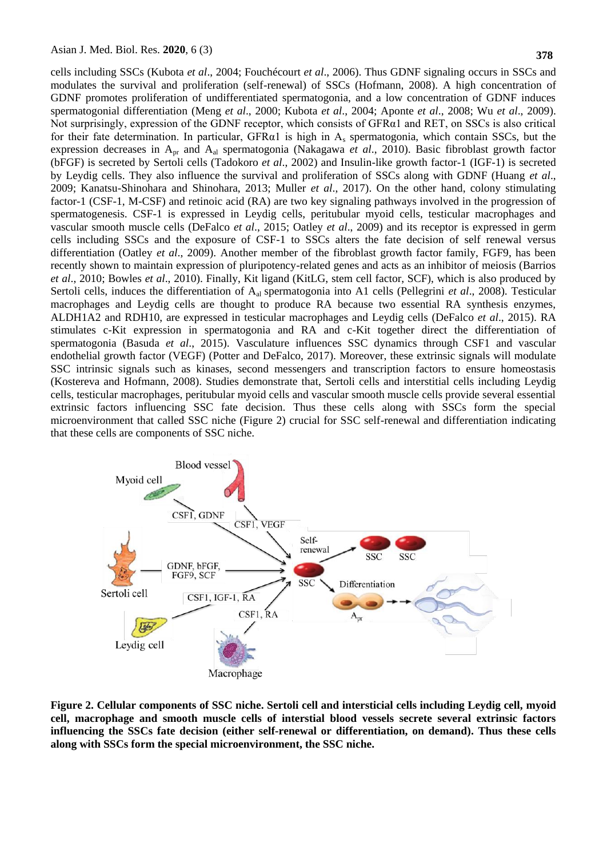cells including SSCs (Kubota *et al*., 2004; Fouchécourt *et al*., 2006). Thus GDNF signaling occurs in SSCs and modulates the survival and proliferation (self-renewal) of SSCs (Hofmann, 2008). A high concentration of GDNF promotes proliferation of undifferentiated spermatogonia, and a low concentration of GDNF induces spermatogonial differentiation (Meng *et al*., 2000; Kubota *et al*., 2004; Aponte *et al*., 2008; Wu *et al*., 2009). Not surprisingly, expression of the GDNF receptor, which consists of GFRα1 and RET, on SSCs is also critical for their fate determination. In particular, GFR $\alpha$ 1 is high in A<sub>s</sub> spermatogonia, which contain SSCs, but the expression decreases in Apr and Aal spermatogonia (Nakagawa *et al*., 2010). Basic fibroblast growth factor (bFGF) is secreted by Sertoli cells (Tadokoro *et al*., 2002) and Insulin-like growth factor-1 (IGF-1) is secreted by Leydig cells. They also influence the survival and proliferation of SSCs along with GDNF (Huang *et al*., 2009; Kanatsu-Shinohara and Shinohara, 2013; Muller *et al*., 2017). On the other hand, colony stimulating factor-1 (CSF-1, M-CSF) and retinoic acid (RA) are two key signaling pathways involved in the progression of spermatogenesis. CSF-1 is expressed in Leydig cells, peritubular myoid cells, testicular macrophages and vascular smooth muscle cells (DeFalco *et al*., 2015; Oatley *et al*., 2009) and its receptor is expressed in germ cells including SSCs and the exposure of CSF-1 to SSCs alters the fate decision of self renewal versus differentiation (Oatley *et al*., 2009). Another member of the fibroblast growth factor family, FGF9, has been recently shown to maintain expression of pluripotency-related genes and acts as an inhibitor of meiosis (Barrios *et al*., 2010; Bowles *et al*., 2010). Finally, Kit ligand (KitLG, stem cell factor, SCF), which is also produced by Sertoli cells, induces the differentiation of Aal spermatogonia into A1 cells (Pellegrini *et al*., 2008). Testicular macrophages and Leydig cells are thought to produce RA because two essential RA synthesis enzymes, ALDH1A2 and RDH10, are expressed in testicular macrophages and Leydig cells (DeFalco *et al*., 2015). RA stimulates c-Kit expression in spermatogonia and RA and c-Kit together direct the differentiation of spermatogonia (Basuda *et al*., 2015). Vasculature influences SSC dynamics through CSF1 and vascular endothelial growth factor (VEGF) (Potter and DeFalco, 2017). Moreover, these extrinsic signals will modulate SSC intrinsic signals such as kinases, second messengers and transcription factors to ensure homeostasis (Kostereva and Hofmann, 2008). Studies demonstrate that, Sertoli cells and interstitial cells including Leydig cells, testicular macrophages, peritubular myoid cells and vascular smooth muscle cells provide several essential extrinsic factors influencing SSC fate decision. Thus these cells along with SSCs form the special microenvironment that called SSC niche (Figure 2) crucial for SSC self-renewal and differentiation indicating that these cells are components of SSC niche.



**Figure 2. Cellular components of SSC niche. Sertoli cell and intersticial cells including Leydig cell, myoid cell, macrophage and smooth muscle cells of interstial blood vessels secrete several extrinsic factors influencing the SSCs fate decision (either self-renewal or differentiation, on demand). Thus these cells along with SSCs form the special microenvironment, the SSC niche.**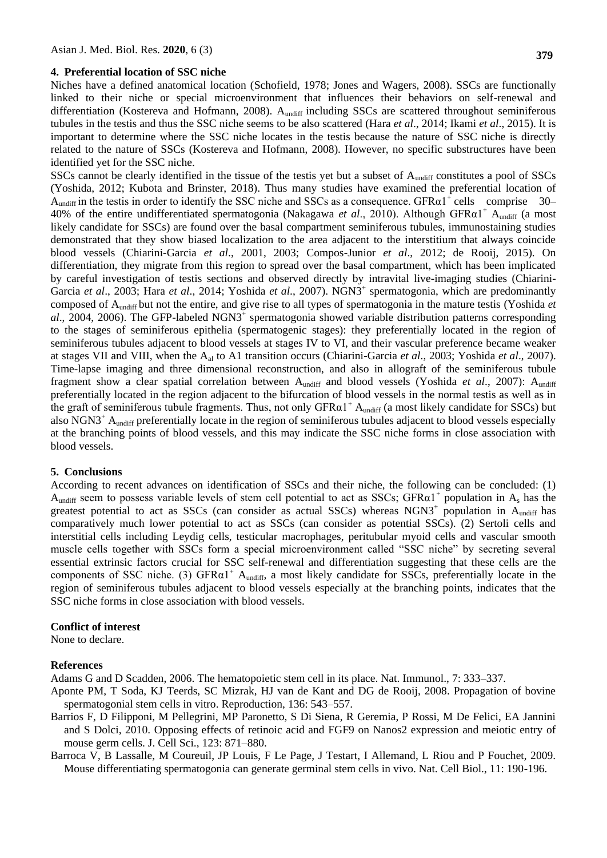#### **4. Preferential location of SSC niche**

Niches have a defined anatomical location (Schofield, 1978; Jones and Wagers, 2008). SSCs are functionally linked to their niche or special microenvironment that influences their behaviors on self-renewal and differentiation (Kostereva and Hofmann, 2008). A<sub>undiff</sub> including SSCs are scattered throughout seminiferous tubules in the testis and thus the SSC niche seems to be also scattered (Hara *et al*., 2014; Ikami *et al*., 2015). It is important to determine where the SSC niche locates in the testis because the nature of SSC niche is directly related to the nature of SSCs (Kostereva and Hofmann, 2008). However, no specific substructures have been identified yet for the SSC niche.

SSCs cannot be clearly identified in the tissue of the testis yet but a subset of A<sub>undiff</sub> constitutes a pool of SSCs (Yoshida, 2012; Kubota and Brinster, 2018). Thus many studies have examined the preferential location of  $A<sub>undiff</sub>$  in the testis in order to identify the SSC niche and SSCs as a consequence. GFR $\alpha$ 1<sup>+</sup> cells comprise 30– 40% of the entire undifferentiated spermatogonia (Nakagawa *et al.*, 2010). Although GFR $\alpha$ 1<sup>+</sup> A<sub>undiff</sub> (a most likely candidate for SSCs) are found over the basal compartment seminiferous tubules, immunostaining studies demonstrated that they show biased localization to the area adjacent to the interstitium that always coincide blood vessels (Chiarini-Garcia *et al*., 2001, 2003; Compos-Junior *et al*., 2012; de Rooij, 2015). On differentiation, they migrate from this region to spread over the basal compartment, which has been implicated by careful investigation of testis sections and observed directly by intravital live-imaging studies (Chiarini-Garcia et al., 2003; Hara et al., 2014; Yoshida et al., 2007). NGN3<sup>+</sup> spermatogonia, which are predominantly composed of Aundiff but not the entire, and give rise to all types of spermatogonia in the mature testis (Yoshida *et*  al., 2004, 2006). The GFP-labeled NGN3<sup>+</sup> spermatogonia showed variable distribution patterns corresponding to the stages of seminiferous epithelia (spermatogenic stages): they preferentially located in the region of seminiferous tubules adjacent to blood vessels at stages IV to VI, and their vascular preference became weaker at stages VII and VIII, when the Aal to A1 transition occurs (Chiarini-Garcia *et al*., 2003; Yoshida *et al*., 2007). Time-lapse imaging and three dimensional reconstruction, and also in allograft of the seminiferous tubule fragment show a clear spatial correlation between Aundiff and blood vessels (Yoshida et al., 2007): Aundiff preferentially located in the region adjacent to the bifurcation of blood vessels in the normal testis as well as in the graft of seminiferous tubule fragments. Thus, not only  $GFR\alpha1^+$  A<sub>undiff</sub> (a most likely candidate for SSCs) but also  $NGN3^+$  A<sub>undiff</sub> preferentially locate in the region of seminiferous tubules adjacent to blood vessels especially at the branching points of blood vessels, and this may indicate the SSC niche forms in close association with blood vessels.

# **5. Conclusions**

According to recent advances on identification of SSCs and their niche, the following can be concluded: (1)  $A_{\text{undiff}}$  seem to possess variable levels of stem cell potential to act as SSCs; GFR $\alpha$ 1<sup>+</sup> population in  $A_s$  has the greatest potential to act as SSCs (can consider as actual SSCs) whereas NGN3<sup>+</sup> population in A<sub>undiff</sub> has comparatively much lower potential to act as SSCs (can consider as potential SSCs). (2) Sertoli cells and interstitial cells including Leydig cells, testicular macrophages, peritubular myoid cells and vascular smooth muscle cells together with SSCs form a special microenvironment called "SSC niche" by secreting several essential extrinsic factors crucial for SSC self-renewal and differentiation suggesting that these cells are the components of SSC niche. (3) GFR $\alpha$ 1<sup>+</sup> A<sub>undiff</sub>, a most likely candidate for SSCs, preferentially locate in the region of seminiferous tubules adjacent to blood vessels especially at the branching points, indicates that the SSC niche forms in close association with blood vessels.

### **Conflict of interest**

None to declare.

#### **References**

Adams G and D Scadden, 2006. The hematopoietic stem cell in its place. Nat. Immunol., 7: 333–337.

- Aponte PM, T Soda, KJ Teerds, SC Mizrak, HJ van de Kant and DG de Rooij, 2008. Propagation of bovine spermatogonial stem cells in vitro. Reproduction, 136: 543–557.
- Barrios F, D Filipponi, M Pellegrini, MP Paronetto, S Di Siena, R Geremia, P Rossi, M De Felici, EA Jannini and S Dolci, 2010. Opposing effects of retinoic acid and FGF9 on Nanos2 expression and meiotic entry of mouse germ cells. J. Cell Sci., 123: 871–880.
- Barroca V, B Lassalle, M Coureuil, JP Louis, F Le Page, J Testart, I Allemand, L Riou and P Fouchet, 2009. Mouse differentiating spermatogonia can generate germinal stem cells in vivo. Nat. Cell Biol., 11: 190-196.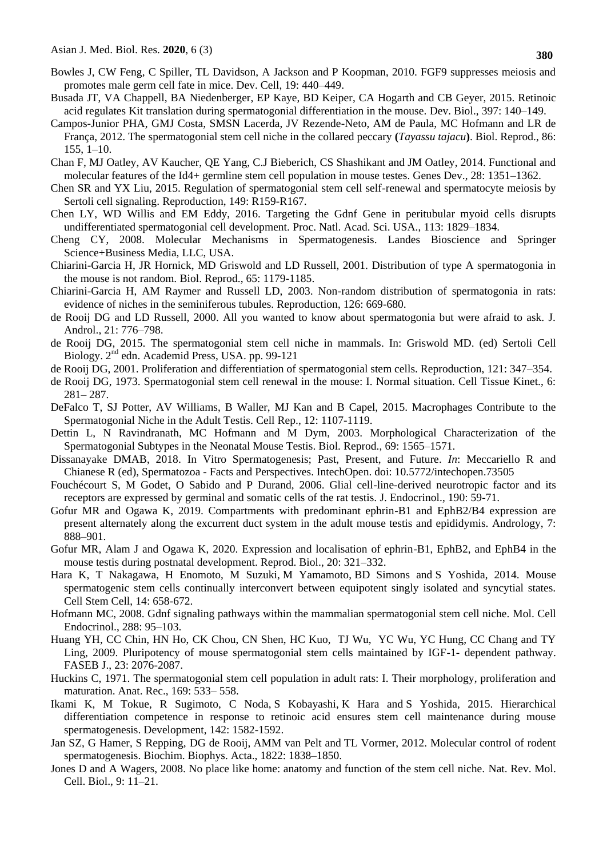- Bowles J, CW Feng, C Spiller, TL Davidson, A Jackson and P Koopman, 2010. FGF9 suppresses meiosis and promotes male germ cell fate in mice. Dev. Cell, 19: 440–449.
- Busada JT, VA Chappell, BA Niedenberger, EP Kaye, BD Keiper, CA Hogarth and CB Geyer, 2015. Retinoic acid regulates Kit translation during spermatogonial differentiation in the mouse. Dev. Biol., 397: 140–149.
- Campos-Junior PHA, GMJ Costa, SMSN Lacerda, JV Rezende-Neto, AM de Paula, MC Hofmann and LR de França, 2012. The spermatogonial stem cell niche in the collared peccary **(***Tayassu tajacu***)**. Biol. Reprod., 86: 155, 1–10.
- Chan F, MJ Oatley, AV Kaucher, QE Yang, C.J Bieberich, CS Shashikant and JM Oatley, 2014. Functional and molecular features of the Id4+ germline stem cell population in mouse testes. Genes Dev., 28: 1351–1362.
- Chen SR and YX Liu, 2015. Regulation of spermatogonial stem cell self-renewal and spermatocyte meiosis by Sertoli cell signaling. Reproduction, 149: R159-R167.
- Chen LY, WD Willis and EM Eddy, 2016. Targeting the Gdnf Gene in peritubular myoid cells disrupts undifferentiated spermatogonial cell development. Proc. Natl. Acad. Sci. USA., 113: 1829–1834.
- Cheng CY, 2008. Molecular Mechanisms in Spermatogenesis. Landes Bioscience and Springer Science+Business Media, LLC, USA.
- Chiarini-Garcia H, JR Hornick, MD Griswold and LD Russell, 2001. Distribution of type A spermatogonia in the mouse is not random. Biol. Reprod., 65: 1179-1185.
- Chiarini-Garcia H, AM Raymer and Russell LD, 2003. Non-random distribution of spermatogonia in rats: evidence of niches in the seminiferous tubules. Reproduction, 126: 669-680.
- de Rooij DG and LD Russell, 2000. All you wanted to know about spermatogonia but were afraid to ask. J. Androl., 21: 776–798.
- de Rooij DG, 2015. The spermatogonial stem cell niche in mammals. In: Griswold MD. (ed) [Sertoli Cell](https://www.sciencedirect.com/science/book/9780124170476)  Biology. 2nd [edn. Academid Press, USA. pp. 9](https://www.sciencedirect.com/science/book/9780124170476)9-121
- de Rooij DG, 2001. Proliferation and differentiation of spermatogonial stem cells. Reproduction, 121: 347–354.
- de Rooij DG, 1973. Spermatogonial stem cell renewal in the mouse: I. Normal situation. Cell Tissue Kinet., 6: 281– 287.
- DeFalco T, SJ Potter, AV Williams, B Waller, MJ Kan and B Capel, 2015. Macrophages Contribute to the Spermatogonial Niche in the Adult Testis. Cell Rep., 12: 1107-1119.
- Dettin L, N Ravindranath, MC Hofmann and M Dym, 2003. Morphological Characterization of the Spermatogonial Subtypes in the Neonatal Mouse Testis. Biol. Reprod., 69: 1565–1571.
- Dissanayake DMAB, 2018. In Vitro Spermatogenesis; Past, Present, and Future. *In*: Meccariello R and Chianese R (ed), Spermatozoa - [Facts and Perspectives.](https://www.intechopen.com/books/spermatozoa-facts-and-perspectives) IntechOpen. doi: 10.5772/intechopen.73505
- Fouchécourt S, M Godet, O Sabido and P Durand, 2006. Glial cell-line-derived neurotropic factor and its receptors are expressed by germinal and somatic cells of the rat testis. J. Endocrinol., 190: 59-71.
- Gofur MR and Ogawa K, 2019. Compartments with predominant ephrin-B1 and EphB2/B4 expression are present alternately along the excurrent duct system in the adult mouse testis and epididymis. Andrology, 7: 888–901.
- Gofur MR, Alam J and Ogawa K, 2020. Expression and localisation of ephrin-B1, EphB2, and EphB4 in the mouse testis during postnatal development. Reprod. Biol., 20: 321–332.
- Hara K, T Nakagawa, H Enomoto, M [Suzuki,](https://pubmed.ncbi.nlm.nih.gov/?term=Suzuki+M&cauthor_id=24792118) M [Yamamoto,](https://pubmed.ncbi.nlm.nih.gov/?term=Yamamoto+M&cauthor_id=24792118) BD [Simons](https://pubmed.ncbi.nlm.nih.gov/?term=Simons+BD&cauthor_id=24792118) and S [Yoshida,](https://pubmed.ncbi.nlm.nih.gov/?term=Yoshida+S&cauthor_id=24792118) 2014. Mouse spermatogenic stem cells continually interconvert between equipotent singly isolated and syncytial states. Cell Stem Cell, 14: 658-672.
- Hofmann MC, 2008. Gdnf signaling pathways within the mammalian spermatogonial stem cell niche. Mol. Cell Endocrinol., 288: 95–103.
- Huang YH, CC Chin, HN Ho, CK Chou, CN Shen, HC Kuo, TJ Wu, YC Wu, YC Hung, CC Chang and TY Ling, 2009. Pluripotency of mouse spermatogonial stem cells maintained by IGF-1- dependent pathway. FASEB J., 23: 2076-2087.
- Huckins C, 1971. The spermatogonial stem cell population in adult rats: I. Their morphology, proliferation and maturation. Anat. Rec., 169: 533– 558.
- Ikami K, M Tokue, R Sugimoto, C [Noda,](https://pubmed.ncbi.nlm.nih.gov/?term=Noda+C&cauthor_id=25858458) S [Kobayashi,](https://pubmed.ncbi.nlm.nih.gov/?term=Kobayashi+S&cauthor_id=25858458) K [Hara](https://pubmed.ncbi.nlm.nih.gov/?term=Hara+K&cauthor_id=25858458) and S [Yoshida,](https://pubmed.ncbi.nlm.nih.gov/?term=Yoshida+S&cauthor_id=25858458) 2015. Hierarchical differentiation competence in response to retinoic acid ensures stem cell maintenance during mouse spermatogenesis. Development, 142: 1582-1592.
- Jan SZ, G Hamer, S Repping, DG [de Rooij,](https://pubmed.ncbi.nlm.nih.gov/?term=de+Rooij+DG&cauthor_id=22366765) AMM [van Pelt](https://pubmed.ncbi.nlm.nih.gov/?term=van+Pelt+AM&cauthor_id=22366765) and TL [Vormer,](https://pubmed.ncbi.nlm.nih.gov/?term=Vormer+TL&cauthor_id=22366765) 2012. Molecular control of rodent spermatogenesis. Biochim. Biophys. Acta., 1822: 1838–1850.
- Jones D and A Wagers, 2008. No place like home: anatomy and function of the stem cell niche. Nat. Rev. Mol. Cell. Biol., 9: 11–21.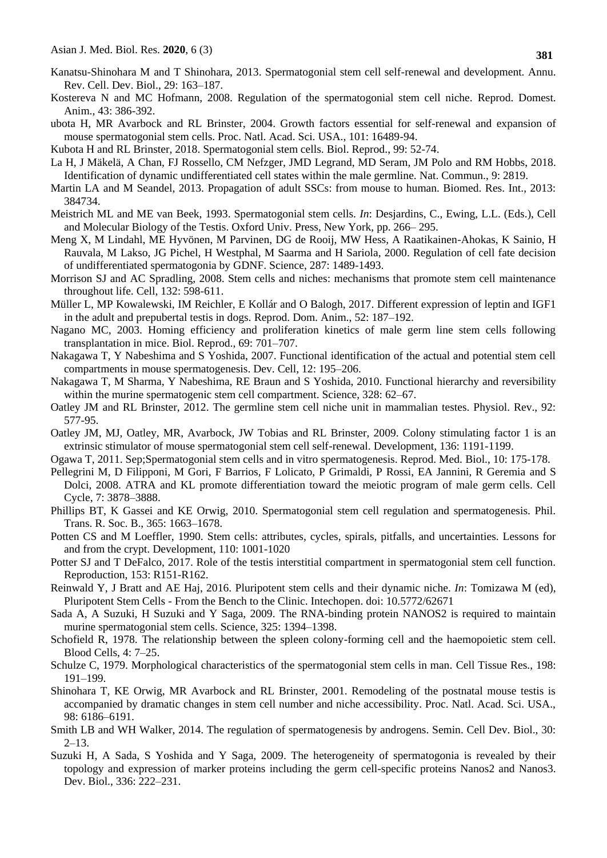- Kanatsu-Shinohara M and T Shinohara, 2013. Spermatogonial stem cell self-renewal and development. Annu. Rev. Cell. Dev. Biol., 29: 163–187.
- Kostereva N and MC Hofmann, 2008. Regulation of the spermatogonial stem cell niche. Reprod. Domest. Anim., 43: 386-392.
- ubota H, MR Avarbock and RL Brinster, 2004. Growth factors essential for self-renewal and expansion of mouse spermatogonial stem cells. Proc. Natl. Acad. Sci. USA., 101: 16489-94.
- Kubota H and RL Brinster, 2018. Spermatogonial stem cells. Biol. Reprod., 99: 52-74.
- La H, J Mäkelä, A Chan, FJ Rossello, CM Nefzger, JMD Legrand, MD Seram, JM Polo and RM Hobbs, 2018. Identification of dynamic undifferentiated cell states within the male germline. Nat. Commun., 9: 2819.
- Martin LA and M Seandel, 2013. Propagation of adult SSCs: from mouse to human. Biomed. Res. Int., 2013: 384734.
- Meistrich ML and ME van Beek, 1993. Spermatogonial stem cells. *In*: Desjardins, C., Ewing, L.L. (Eds.), Cell and Molecular Biology of the Testis. Oxford Univ. Press, New York, pp. 266– 295.
- Meng X, M Lindahl, ME Hyvönen, M Parvinen, DG de Rooij, MW Hess, A Raatikainen-Ahokas, K Sainio, H Rauvala, M Lakso, JG Pichel, H Westphal, M Saarma and H Sariola, 2000. Regulation of cell fate decision of undifferentiated spermatogonia by GDNF. Science, 287: 1489-1493.
- Morrison SJ and AC Spradling, 2008. Stem cells and niches: mechanisms that promote stem cell maintenance throughout life. Cell, 132: 598-611.
- Müller L, MP Kowalewski, IM Reichler, E Kollár and O Balogh, 2017. Different expression of leptin and IGF1 in the adult and prepubertal testis in dogs. Reprod. Dom. Anim., 52: 187–192.
- Nagano MC, 2003. Homing efficiency and proliferation kinetics of male germ line stem cells following transplantation in mice. Biol. Reprod., 69: 701–707.
- Nakagawa T, Y Nabeshima and S Yoshida, 2007. Functional identification of the actual and potential stem cell compartments in mouse spermatogenesis. Dev. Cell, 12: 195–206.
- Nakagawa T, M Sharma, Y Nabeshima, RE Braun and S Yoshida, 2010. Functional hierarchy and reversibility within the murine spermatogenic stem cell compartment. Science, 328: 62–67.
- Oatley JM and RL Brinster, 2012. The germline stem cell niche unit in mammalian testes. Physiol. Rev., 92: 577-95.
- Oatley JM, MJ, Oatley, MR, Avarbock, JW Tobias and RL Brinster, 2009. Colony stimulating factor 1 is an extrinsic stimulator of mouse spermatogonial stem cell self-renewal. Development, 136: 1191-1199.
- Ogawa T, 2011. Sep;Spermatogonial stem cells and in vitro spermatogenesis. Reprod. Med. Biol., 10: 175-178.
- Pellegrini M, D Filipponi, M Gori, F Barrios, F Lolicato, P Grimaldi, P Rossi, EA Jannini, R Geremia and S Dolci, 2008. ATRA and KL promote differentiation toward the meiotic program of male germ cells. Cell Cycle, 7: 3878–3888.
- Phillips BT, K Gassei and KE Orwig, 2010. Spermatogonial stem cell regulation and spermatogenesis. Phil. Trans. R. Soc. B., 365: 1663–1678.
- Potten CS and M Loeffler, 1990. Stem cells: attributes, cycles, spirals, pitfalls, and uncertainties. Lessons for and from the crypt. Development, 110: 1001-1020
- Potter SJ and T DeFalco, 2017. Role of the testis interstitial compartment in spermatogonial stem cell function. Reproduction, 153: R151-R162.
- Reinwald Y, J Bratt and AE Haj, 2016. Pluripotent stem cells and their dynamic niche. *In*: Tomizawa M (ed), Pluripotent Stem Cells - From the Bench to the Clinic. Intechopen. doi: 10.5772/62671
- Sada A, A Suzuki, H Suzuki and Y Saga, 2009. The RNA-binding protein NANOS2 is required to maintain murine spermatogonial stem cells. Science, 325: 1394–1398.
- Schofield R, 1978. The relationship between the spleen colony-forming cell and the haemopoietic stem cell. Blood Cells, 4: 7–25.
- Schulze C, 1979. Morphological characteristics of the spermatogonial stem cells in man. Cell Tissue Res., 198: 191–199.
- Shinohara T, KE Orwig, MR Avarbock and RL Brinster, 2001. Remodeling of the postnatal mouse testis is accompanied by dramatic changes in stem cell number and niche accessibility. Proc. Natl. Acad. Sci. USA., 98: 6186–6191.
- Smith LB and WH Walker, 2014. The regulation of spermatogenesis by androgens. Semin. Cell Dev. Biol., 30:  $2 - 13$ .
- Suzuki H, A Sada, S Yoshida and Y Saga, 2009. The heterogeneity of spermatogonia is revealed by their topology and expression of marker proteins including the germ cell-specific proteins Nanos2 and Nanos3. Dev. Biol., 336: 222–231.